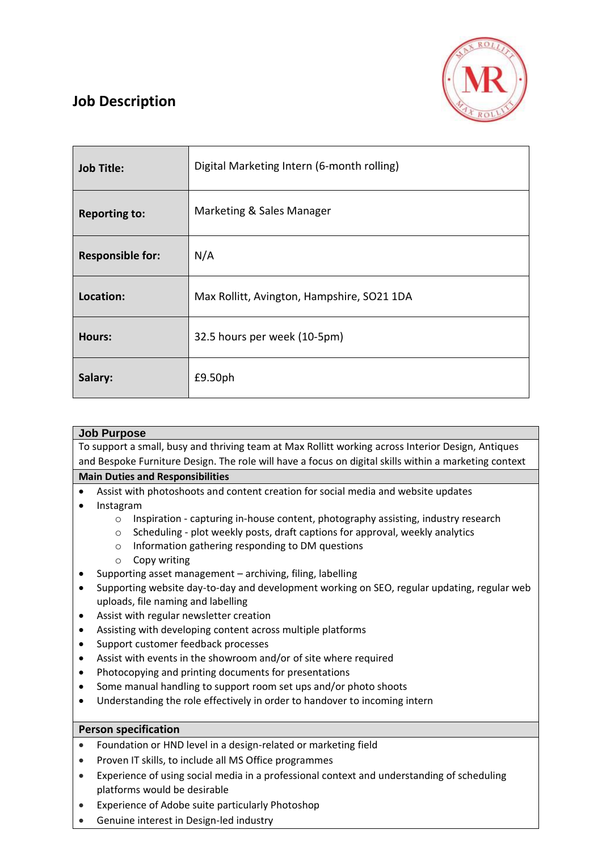

## **Job Description**

| <b>Job Title:</b>       | Digital Marketing Intern (6-month rolling) |
|-------------------------|--------------------------------------------|
| <b>Reporting to:</b>    | Marketing & Sales Manager                  |
| <b>Responsible for:</b> | N/A                                        |
| Location:               | Max Rollitt, Avington, Hampshire, SO21 1DA |
| <b>Hours:</b>           | 32.5 hours per week (10-5pm)               |
| Salary:                 | £9.50ph                                    |

| <b>Job Purpose</b>                                                                                    |  |
|-------------------------------------------------------------------------------------------------------|--|
|                                                                                                       |  |
| To support a small, busy and thriving team at Max Rollitt working across Interior Design, Antiques    |  |
|                                                                                                       |  |
| and Bespoke Furniture Design. The role will have a focus on digital skills within a marketing context |  |
| <b>Main Duties and Responsibilities</b>                                                               |  |
|                                                                                                       |  |
| Assist with photoshoots and content creation for social media and website updates                     |  |
|                                                                                                       |  |
| Instagram                                                                                             |  |
|                                                                                                       |  |

- $\circ$  Inspiration capturing in-house content, photography assisting, industry research
- o Scheduling plot weekly posts, draft captions for approval, weekly analytics
- o Information gathering responding to DM questions
- o Copy writing
- Supporting asset management archiving, filing, labelling
- Supporting website day-to-day and development working on SEO, regular updating, regular web uploads, file naming and labelling
- Assist with regular newsletter creation
- Assisting with developing content across multiple platforms
- Support customer feedback processes
- Assist with events in the showroom and/or of site where required
- Photocopying and printing documents for presentations
- Some manual handling to support room set ups and/or photo shoots
- Understanding the role effectively in order to handover to incoming intern

## **Person specification**

- Foundation or HND level in a design-related or marketing field
- Proven IT skills, to include all MS Office programmes
- Experience of using social media in a professional context and understanding of scheduling platforms would be desirable
- Experience of Adobe suite particularly Photoshop
- Genuine interest in Design-led industry